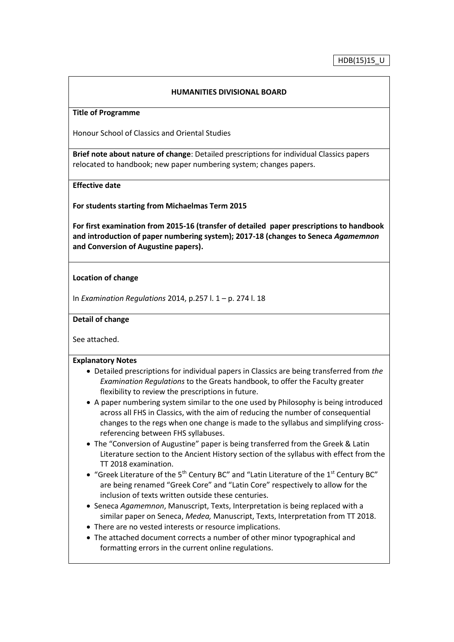# **HUMANITIES DIVISIONAL BOARD**

## **Title of Programme**

Honour School of Classics and Oriental Studies

**Brief note about nature of change**: Detailed prescriptions for individual Classics papers relocated to handbook; new paper numbering system; changes papers.

# **Effective date**

**For students starting from Michaelmas Term 2015**

**For first examination from 2015-16 (transfer of detailed paper prescriptions to handbook and introduction of paper numbering system); 2017-18 (changes to Seneca** *Agamemnon* **and Conversion of Augustine papers).**

# **Location of change**

In *Examination Regulations* 2014, p.257 l. 1 – p. 274 l. 18

# **Detail of change**

See attached.

# **Explanatory Notes**

- Detailed prescriptions for individual papers in Classics are being transferred from *the Examination Regulations* to the Greats handbook, to offer the Faculty greater flexibility to review the prescriptions in future.
- A paper numbering system similar to the one used by Philosophy is being introduced across all FHS in Classics, with the aim of reducing the number of consequential changes to the regs when one change is made to the syllabus and simplifying crossreferencing between FHS syllabuses.
- The "Conversion of Augustine" paper is being transferred from the Greek & Latin Literature section to the Ancient History section of the syllabus with effect from the TT 2018 examination.
- "Greek Literature of the 5<sup>th</sup> Century BC" and "Latin Literature of the 1<sup>st</sup> Century BC" are being renamed "Greek Core" and "Latin Core" respectively to allow for the inclusion of texts written outside these centuries.
- Seneca *Agamemnon*, Manuscript, Texts, Interpretation is being replaced with a similar paper on Seneca, *Medea,* Manuscript, Texts, Interpretation from TT 2018.
- There are no vested interests or resource implications.
- The attached document corrects a number of other minor typographical and formatting errors in the current online regulations.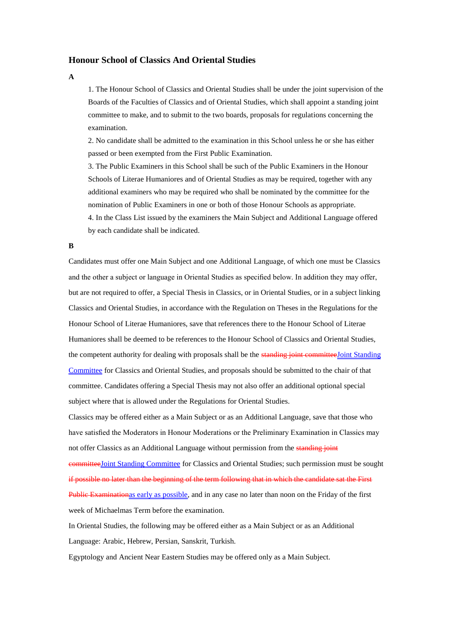## **Honour School of Classics And Oriental Studies**

**A**

1. The Honour School of Classics and Oriental Studies shall be under the joint supervision of the Boards of the Faculties of Classics and of Oriental Studies, which shall appoint a standing joint committee to make, and to submit to the two boards, proposals for regulations concerning the examination.

2. No candidate shall be admitted to the examination in this School unless he or she has either passed or been exempted from the First Public Examination.

3. The Public Examiners in this School shall be such of the Public Examiners in the Honour Schools of Literae Humaniores and of Oriental Studies as may be required, together with any additional examiners who may be required who shall be nominated by the committee for the nomination of Public Examiners in one or both of those Honour Schools as appropriate. 4. In the Class List issued by the examiners the Main Subject and Additional Language offered by each candidate shall be indicated.

**B**

Candidates must offer one Main Subject and one Additional Language, of which one must be Classics and the other a subject or language in Oriental Studies as specified below. In addition they may offer, but are not required to offer, a Special Thesis in Classics, or in Oriental Studies, or in a subject linking Classics and Oriental Studies, in accordance with the Regulation on Theses in the Regulations for the Honour School of Literae Humaniores, save that references there to the Honour School of Literae Humaniores shall be deemed to be references to the Honour School of Classics and Oriental Studies, the competent authority for dealing with proposals shall be the standing joint committee Joint Standing Committee for Classics and Oriental Studies, and proposals should be submitted to the chair of that committee. Candidates offering a Special Thesis may not also offer an additional optional special subject where that is allowed under the Regulations for Oriental Studies.

Classics may be offered either as a Main Subject or as an Additional Language, save that those who have satisfied the Moderators in Honour Moderations or the Preliminary Examination in Classics may not offer Classics as an Additional Language without permission from the standing joint committeeJoint Standing Committee for Classics and Oriental Studies; such permission must be sought if possible no later than the beginning of the term following that in which the candidate sat the First Public Examinationas early as possible, and in any case no later than noon on the Friday of the first week of Michaelmas Term before the examination.

In Oriental Studies, the following may be offered either as a Main Subject or as an Additional Language: Arabic, Hebrew, Persian, Sanskrit, Turkish.

Egyptology and Ancient Near Eastern Studies may be offered only as a Main Subject.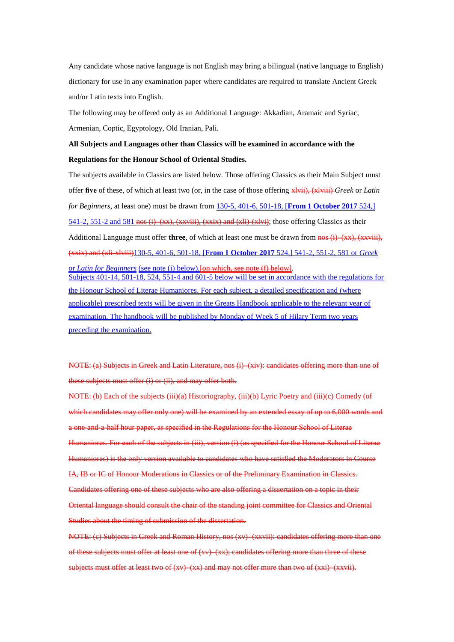Any candidate whose native language is not English may bring a bilingual (native language to English) dictionary for use in any examination paper where candidates are required to translate Ancient Greek and/or Latin texts into English.

The following may be offered only as an Additional Language: Akkadian, Aramaic and Syriac, Armenian, Coptic, Egyptology, Old Iranian, Pali.

# **All Subjects and Languages other than Classics will be examined in accordance with the Regulations for the Honour School of Oriental Studies.**

The subjects available in Classics are listed below. Those offering Classics as their Main Subject must offer **five** of these, of which at least two (or, in the case of those offering xlvii), (xlviii) *Greek* or *Latin for Beginners*, at least one) must be drawn from 130-5, 401-6, 501-18, [**From 1 October 2017** 524,] 541-2, 551-2 and 581 nos (i)–(xx), (xxviii), (xxix) and (xli)-(xlvi); those offering Classics as their Additional Language must offer **three**, of which at least one must be drawn from nos (i)–(xx), (xxviii), (xxix) and (xli-xlviii)130-5, 401-6, 501-18, [**From 1 October 2017** 524,] 541-2, 551-2, 581 or *Greek* or *Latin for Beginners* (see note (i) below).[on which, see note (f) below]. Subjects 401-14, 501-18, 524, 551-4 and 601-5 below will be set in accordance with the regulations for the Honour School of Literae Humaniores. For each subject, a detailed specification and (where applicable) prescribed texts will be given in the Greats Handbook applicable to the relevant year of

examination. The handbook will be published by Monday of Week 5 of Hilary Term two years preceding the examination.

NOTE: (a) Subjects in Greek and Latin Literature, nos (i)–(xiv): candidates offering more than one of these subjects must offer (i) or (ii), and may offer both.

NOTE: (b) Each of the subjects (iii)(a) Historiography, (iii)(b) Lyric Poetry and (iii)(c) Comedy (of which candidates may offer only one) will be examined by an extended essay of up to 6,000 words and a one-and-a-half hour paper, as specified in the Regulations for the Honour School of Literae Humaniores. For each of the subjects in (iii), version (i) (as specified for the Honour School of Literae Humaniores) is the only version available to candidates who have satisfied the Moderators in Course IA, IB or IC of Honour Moderations in Classics or of the Preliminary Examination in Classics. Candidates offering one of these subjects who are also offering a dissertation on a topic in their Oriental language should consult the chair of the standing joint committee for Classics and Oriental Studies about the timing of submission of the dissertation.

NOTE: (c) Subjects in Greek and Roman History, nos (xv)–(xxvii): candidates offering more than one of these subjects must offer at least one of (xv)–(xx); candidates offering more than three of these subjects must offer at least two of (xv)–(xx) and may not offer more than two of (xxi)–(xxvii).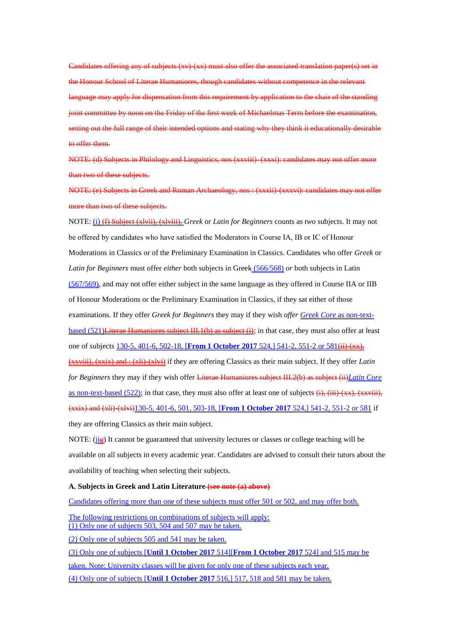Candidates offering any of subjects (xy) (xx) must also offer the associated translation paper(s) set in the Honour School of Literae Humaniores, though candidates without competence in the relevant language may apply for dispensation from this requirement by application to the chair of the standing joint committee by noon on the Friday of the first week of Michaelmas Term before the examination, setting out the full range of their intended options and stating why they think it educationally desirable to offer them.

NOTE: (d) Subjects in Philology and Linguistics, nos (xxviii)–(xxxi): candidates may not offer more than two of these subjects.

NOTE: (e) Subjects in Greek and Roman Archaeology, nos : (xxxii)-(xxxvi): candidates may not offer more than two of these subjects.

NOTE: (i) (f) Subject (xlvii), (xlviii), *Greek* or *Latin for Beginners* counts as *two* subjects. It may not be offered by candidates who have satisfied the Moderators in Course IA, IB or IC of Honour Moderations in Classics or of the Preliminary Examination in Classics. Candidates who offer *Greek* or *Latin for Beginners* must offer *either* both subjects in Greek (566/568) *or* both subjects in Latin (567/569), and may not offer either subject in the same language as they offered in Course IIA or IIB of Honour Moderations or the Preliminary Examination in Classics, if they sat either of those examinations. If they offer *Greek for Beginners* they may if they wish *offer Greek Core* as non-textbased  $(521)$ Literae Humaniores subject III.1(b) as subject (i); in that case, they must also offer at least one of subjects 130-5, 401-6, 502-18, [**From 1 October 2017** 524,] 541-2, 551-2 or 581(ii)-(xx), (xxviii), (xxix) and : (xli)-(xlvi) if they are offering Classics as their main subject. If they offer *Latin for Beginners* they may if they wish offer Literae Humaniores subject III.2(b) as subject (ii)*Latin Core*  as non-text-based (522); in that case, they must also offer at least one of subjects  $(i)$ ,  $(iii)$   $(xx)$ ,  $(xxviii)$ , (xxix) and (xli)-(xlvi)130-5, 401-6, 501, 503-18, [**From 1 October 2017** 524,] 541-2, 551-2 or 581 if they are offering Classics as their main subject.

NOTE: (iig) It cannot be guaranteed that university lectures or classes or college teaching will be available on all subjects in every academic year. Candidates are advised to consult their tutors about the availability of teaching when selecting their subjects.

#### **A. Subjects in Greek and Latin Literature (see note (a) above)**

Candidates offering more than one of these subjects must offer 501 or 502, and may offer both.

The following restrictions on combinations of subjects will apply:  $\overline{(1)}$  Only one of subjects 503, 504 and 507 may be taken.

(2) Only one of subjects 505 and 541 may be taken.

(3) Only one of subjects [**Until 1 October 2017** 514][**From 1 October 2017** 524] and 515 may be

taken. Note: University classes will be given for only one of these subjects each year.

(4) Only one of subjects [**Until 1 October 2017** 516,] 517, 518 and 581 may be taken.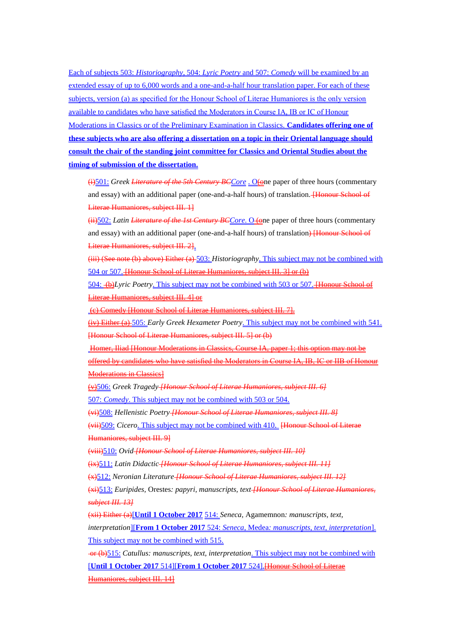Each of subjects 503: *Historiography*, 504: *Lyric Poetry* and 507: *Comedy* will be examined by an extended essay of up to 6,000 words and a one-and-a-half hour translation paper. For each of these subjects, version (a) as specified for the Honour School of Literae Humaniores is the only version available to candidates who have satisfied the Moderators in Course IA, IB or IC of Honour Moderations in Classics or of the Preliminary Examination in Classics. **Candidates offering one of these subjects who are also offering a dissertation on a topic in their Oriental language should consult the chair of the standing joint committee for Classics and Oriental Studies about the timing of submission of the dissertation.**

(i)501: *Greek Literature of the 5th Century BCCore* . O(one paper of three hours (commentary and essay) with an additional paper (one-and-a-half hours) of translation. **Honour School of** Literae Humaniores, subject III. 1]

(ii) 502: *Latin Literature of the 1st Century BCCore*. O (one paper of three hours (commentary and essay) with an additional paper (one-and-a-half hours) of translation) **[Honour School of** Literae Humaniores, subject III. 2].

(iii) (See note (b) above) Either (a) 503: *Historiography*. This subject may not be combined with 504 or 507. **Honour School of Literae Humaniores, subject III. 31 or (b)** 

504:  $\left\langle \rightarrow \right\rangle$ *Lyric Poetry*. This subject may not be combined with 503 or 507. **Honour School of** Literae Humaniores, subject III. 4] or

(c) Comedy [Honour School of Literae Humaniores, subject III. 7].

(iv) Either (a) 505: *Early Greek Hexameter Poetry*. This subject may not be combined with 541. [Honour School of Literae Humaniores, subject III. 5] or (b)

Homer, Iliad [Honour Moderations in Classics, Course IA, paper 1; this option may not be offered by candidates who have satisfied the Moderators in Course IA, IB, IC or IIB of Honour Moderations in Classics]

(v)506: *Greek Tragedy [Honour School of Literae Humaniores, subject III. 6]* 507: *Comedy*. This subject may not be combined with 503 or 504.

(vi)508: *Hellenistic Poetry [Honour School of Literae Humaniores, subject III. 8]*

(vii)509: *Cicero*. This subject may not be combined with 410. [Honour School of Literae Humaniores, subject III. 9]

(viii)510: *Ovid [Honour School of Literae Humaniores, subject III. 10]*

(ix)511: *Latin Didactic [Honour School of Literae Humaniores, subject III. 11]*

(x)512: *Neronian Literature [Honour School of Literae Humaniores, subject III. 12]*

(xi)513: *Euripides,* Orestes*: papyri, manuscripts, text [Honour School of Literae Humaniores, subject III. 13]*

(xii) Either (a)[**Until 1 October 2017** 514: *Seneca,* Agamemnon*: manuscripts, text, interpretation*][**From 1 October 2017** 524: *Seneca,* Medea*: manuscripts, text, interpretation*]. This subject may not be combined with 515.

or (b)515: *Catullus: manuscripts, text, interpretation*. This subject may not be combined with [**Until 1 October 2017** 514][**From 1 October 2017** 524].[Honour School of Literae Humaniores, subject III. 14]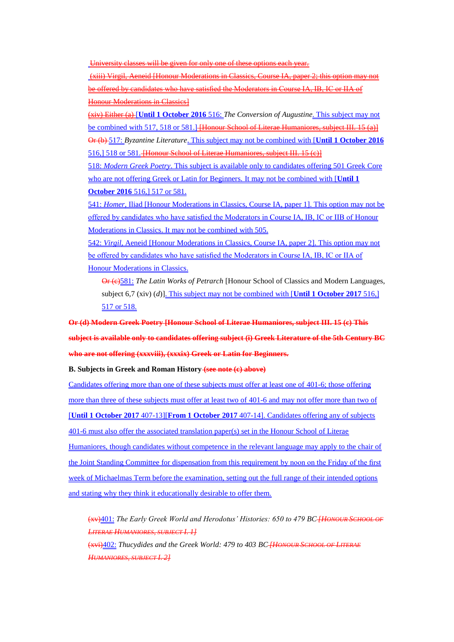University classes will be given for only one of these options each year.

(xiii) Virgil, Aeneid [Honour Moderations in Classics, Course IA, paper 2; this option may not be offered by candidates who have satisfied the Moderators in Course IA, IB, IC or IIA of Honour Moderations in Classics]

(xiv) Either (a) [**Until 1 October 2016** 516: *The Conversion of Augustine*. This subject may not be combined with 517, 518 or 581.] Honour School of Literae Humaniores, subject III. 15 (a)] Or (b) 517: *Byzantine Literature*. This subject may not be combined with [**Until 1 October 2016** 516,] 518 or 581. Honour School of Literae Humaniores, subject III. 15 (c)]

518: *Modern Greek Poetry*. This subject is available only to candidates offering 501 Greek Core who are not offering Greek or Latin for Beginners. It may not be combined with [**Until 1 October 2016** 516,] 517 or 581.

541: *Homer,* Iliad [Honour Moderations in Classics, Course IA, paper 1]. This option may not be offered by candidates who have satisfied the Moderators in Course IA, IB, IC or IIB of Honour Moderations in Classics. It may not be combined with 505.

542: *Virgil,* Aeneid [Honour Moderations in Classics, Course IA, paper 2]. This option may not be offered by candidates who have satisfied the Moderators in Course IA, IB, IC or IIA of Honour Moderations in Classics.

Or (c)581: *The Latin Works of Petrarch* [Honour School of Classics and Modern Languages, subject 6,7 (xiv) (*d*)]. This subject may not be combined with [**Until 1 October 2017** 516,] 517 or 518.

**Or (d) Modern Greek Poetry [Honour School of Literae Humaniores, subject III. 15 (c) This subject is available only to candidates offering subject (i) Greek Literature of the 5th Century BC who are not offering (xxxviii), (xxxix) Greek or Latin for Beginners.**

**B. Subjects in Greek and Roman History (see note (c) above)**

Candidates offering more than one of these subjects must offer at least one of 401-6; those offering more than three of these subjects must offer at least two of 401-6 and may not offer more than two of [**Until 1 October 2017** 407-13][**From 1 October 2017** 407-14]. Candidates offering any of subjects 401-6 must also offer the associated translation paper(s) set in the Honour School of Literae Humaniores, though candidates without competence in the relevant language may apply to the chair of the Joint Standing Committee for dispensation from this requirement by noon on the Friday of the first week of Michaelmas Term before the examination, setting out the full range of their intended options and stating why they think it educationally desirable to offer them.

(xv)401: *The Early Greek World and Herodotus' Histories: 650 to 479 BC [HONOUR SCHOOL OF LITERAE HUMANIORES, SUBJECT I. 1]* (xvi)402: *Thucydides and the Greek World: 479 to 403 BC [HONOUR SCHOOL OF LITERAE HUMANIORES, SUBJECT I. 2]*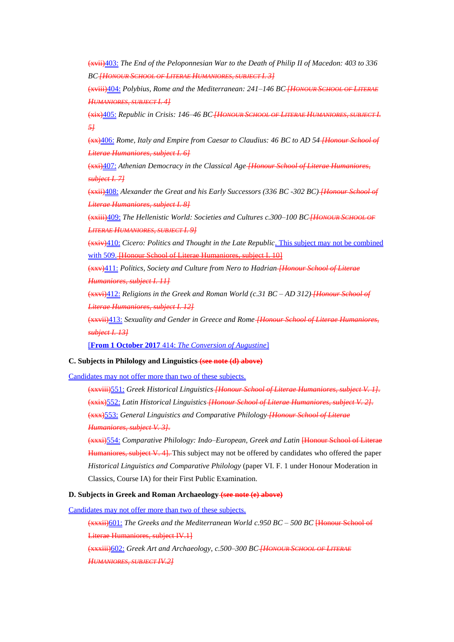(xvii)403: *The End of the Peloponnesian War to the Death of Philip II of Macedon: 403 to 336 BC [HONOUR SCHOOL OF LITERAE HUMANIORES, SUBJECT I. 3]*

(xviii)404: *Polybius, Rome and the Mediterranean: 241–146 BC [HONOUR SCHOOL OF LITERAE HUMANIORES, SUBJECT I. 4]*

(xix)405: *Republic in Crisis: 146–46 BC [HONOUR SCHOOL OF LITERAE HUMANIORES, SUBJECT I. 5]*

(xx)406: *Rome, Italy and Empire from Caesar to Claudius: 46 BC to AD 54 [Honour School of Literae Humaniores, subject I. 6]*

(xxi)407: *Athenian Democracy in the Classical Age [Honour School of Literae Humaniores, subject I. 7]*

(xxii)408: *Alexander the Great and his Early Successors (336 BC -302 BC) [Honour School of Literae Humaniores, subject I. 8]*

(xxiii)409: *The Hellenistic World: Societies and Cultures c.300–100 BC [HONOUR SCHOOL OF LITERAE HUMANIORES, SUBJECT I. 9]*

(xxiv)410: *Cicero: Politics and Thought in the Late Republic*. This subject may not be combined with 509. **Honour School of Literae Humaniores, subject I. 101** 

(xxv)411: *Politics, Society and Culture from Nero to Hadrian [Honour School of Literae Humaniores, subject I. 11]*

(xxvi)412: *Religions in the Greek and Roman World (c.31 BC – AD 312) [Honour School of Literae Humaniores, subject I. 12]*

(xxvii)413: *Sexuality and Gender in Greece and Rome [Honour School of Literae Humaniores, subject I. 13]*

[**From 1 October 2017** 414: *The Conversion of Augustine*]

**C. Subjects in Philology and Linguistics (see note (d) above)**

Candidates may not offer more than two of these subjects.

(xxviii)551: *Greek Historical Linguistics [Honour School of Literae Humaniores, subject V. 1].* (xxix)552: *Latin Historical Linguistics [Honour School of Literae Humaniores, subject V. 2].* (xxx)553: *General Linguistics and Comparative Philology [Honour School of Literae Humaniores, subject V. 3].*

(xxxi)554: *Comparative Philology: Indo–European, Greek and Latin* [Honour School of Literae Humaniores, subject V. 4]. This subject may not be offered by candidates who offered the paper *Historical Linguistics and Comparative Philology* (paper VI. F. 1 under Honour Moderation in Classics, Course IA) for their First Public Examination.

**D. Subjects in Greek and Roman Archaeology (see note (e) above)**

Candidates may not offer more than two of these subjects.

(xxxii)601: *The Greeks and the Mediterranean World c.950 BC – 500 BC* [Honour School of Literae Humaniores, subject IV.1]

(xxxiii)602: *Greek Art and Archaeology, c.500–300 BC [HONOUR SCHOOL OF LITERAE HUMANIORES, SUBJECT IV.2]*